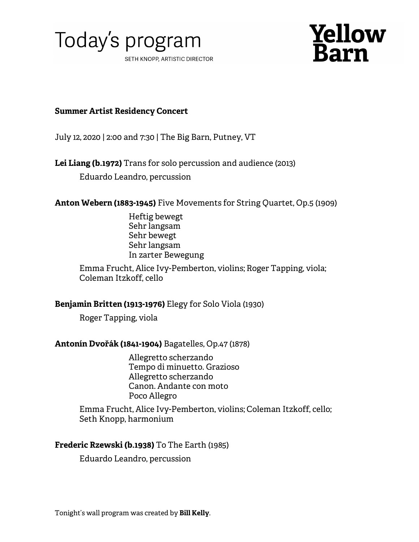



# **Summer Artist Residency Concert**

July 12, 2020 | 2:00 and 7:30 | The Big Barn, Putney, VT

**Lei Liang (b.1972)** Trans for solo percussion and audience (2013)

Eduardo Leandro, percussion

**Anton Webern (1883-1945)** Five Movements for String Quartet, Op.5 (1909)

Heftig bewegt Sehr langsam Sehr bewegt Sehr langsam In zarter Bewegung

Emma Frucht, Alice Ivy-Pemberton, violins; Roger Tapping, viola; Coleman Itzkoff, cello

# **Benjamin Britten (1913-1976)** Elegy for Solo Viola (1930)

Roger Tapping, viola

# **Antonín Dvořák (1841-1904)** Bagatelles, Op.47 (1878)

Allegretto scherzando Tempo di minuetto. Grazioso Allegretto scherzando Canon. Andante con moto Poco Allegro

Emma Frucht, Alice Ivy-Pemberton, violins; Coleman Itzkoff, cello; Seth Knopp, harmonium

# **Frederic Rzewski (b.1938)** To The Earth (1985)

Eduardo Leandro, percussion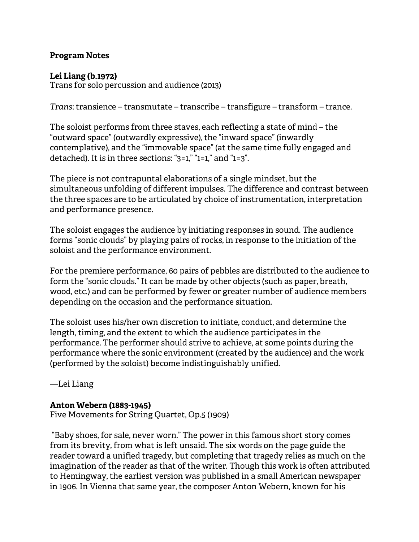# **Program Notes**

# **Lei Liang (b.1972)**

Trans for solo percussion and audience (2013)

*Trans*: transience – transmutate – transcribe – transfigure – transform – trance.

The soloist performs from three staves, each reflecting a state of mind – the "outward space" (outwardly expressive), the "inward space" (inwardly contemplative), and the "immovable space" (at the same time fully engaged and detached). It is in three sections: "3=1," "1=1," and "1=3".

The piece is not contrapuntal elaborations of a single mindset, but the simultaneous unfolding of different impulses. The difference and contrast between the three spaces are to be articulated by choice of instrumentation, interpretation and performance presence.

The soloist engages the audience by initiating responses in sound. The audience forms "sonic clouds" by playing pairs of rocks, in response to the initiation of the soloist and the performance environment.

For the premiere performance, 60 pairs of pebbles are distributed to the audience to form the "sonic clouds." It can be made by other objects (such as paper, breath, wood, etc.) and can be performed by fewer or greater number of audience members depending on the occasion and the performance situation.

The soloist uses his/her own discretion to initiate, conduct, and determine the length, timing, and the extent to which the audience participates in the performance. The performer should strive to achieve, at some points during the performance where the sonic environment (created by the audience) and the work (performed by the soloist) become indistinguishably unified.

—Lei Liang

# **Anton Webern (1883-1945)**

Five Movements for String Quartet, Op.5 (1909)

"Baby shoes, for sale, never worn." The power in this famous short story comes from its brevity, from what is left unsaid. The six words on the page guide the reader toward a unified tragedy, but completing that tragedy relies as much on the imagination of the reader as that of the writer. Though this work is often attributed to Hemingway, the earliest version was published in a small American newspaper in 1906. In Vienna that same year, the composer Anton Webern, known for his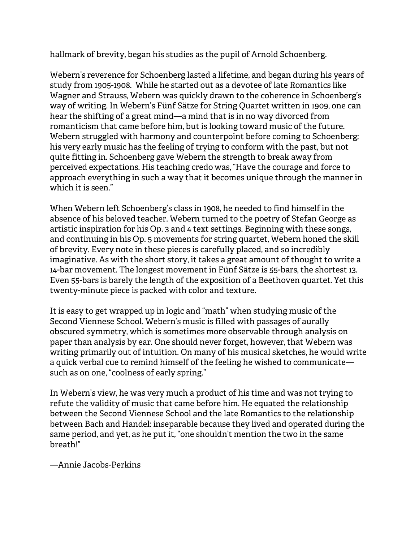hallmark of brevity, began his studies as the pupil of Arnold Schoenberg.

Webern's reverence for Schoenberg lasted a lifetime, and began during his years of study from 1905-1908. While he started out as a devotee of late Romantics like Wagner and Strauss, Webern was quickly drawn to the coherence in Schoenberg's way of writing. In Webern's Fünf Sätze for String Quartet written in 1909, one can hear the shifting of a great mind—a mind that is in no way divorced from romanticism that came before him, but is looking toward music of the future. Webern struggled with harmony and counterpoint before coming to Schoenberg; his very early music has the feeling of trying to conform with the past, but not quite fitting in. Schoenberg gave Webern the strength to break away from perceived expectations. His teaching credo was, "Have the courage and force to approach everything in such a way that it becomes unique through the manner in which it is seen."

When Webern left Schoenberg's class in 1908, he needed to find himself in the absence of his beloved teacher. Webern turned to the poetry of Stefan George as artistic inspiration for his Op. 3 and 4 text settings. Beginning with these songs, and continuing in his Op. 5 movements for string quartet, Webern honed the skill of brevity. Every note in these pieces is carefully placed, and so incredibly imaginative. As with the short story, it takes a great amount of thought to write a 14-bar movement. The longest movement in Fünf Sätze is 55-bars, the shortest 13. Even 55-bars is barely the length of the exposition of a Beethoven quartet. Yet this twenty-minute piece is packed with color and texture.

It is easy to get wrapped up in logic and "math" when studying music of the Second Viennese School. Webern's music is filled with passages of aurally obscured symmetry, which is sometimes more observable through analysis on paper than analysis by ear. One should never forget, however, that Webern was writing primarily out of intuition. On many of his musical sketches, he would write a quick verbal cue to remind himself of the feeling he wished to communicate such as on one, "coolness of early spring."

In Webern's view, he was very much a product of his time and was not trying to refute the validity of music that came before him. He equated the relationship between the Second Viennese School and the late Romantics to the relationship between Bach and Handel: inseparable because they lived and operated during the same period, and yet, as he put it, "one shouldn't mention the two in the same breath!"

—Annie Jacobs-Perkins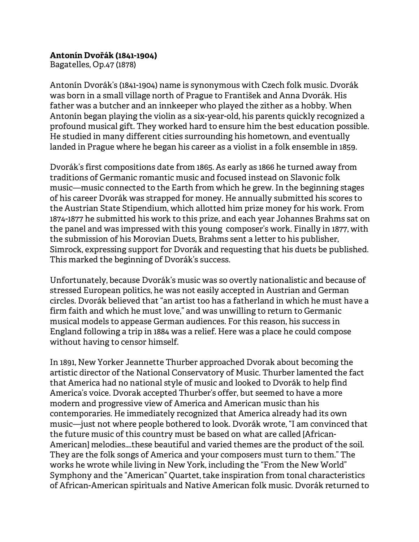#### **Antonín Dvořák (1841-1904)**

Bagatelles, Op.47 (1878)

Antonín Dvorák's (1841-1904) name is synonymous with Czech folk music. Dvorák was born in a small village north of Prague to František and Anna Dvorák. His father was a butcher and an innkeeper who played the zither as a hobby. When Antonín began playing the violin as a six-year-old, his parents quickly recognized a profound musical gift. They worked hard to ensure him the best education possible. He studied in many different cities surrounding his hometown, and eventually landed in Prague where he began his career as a violist in a folk ensemble in 1859.

Dvorák's first compositions date from 1865. As early as 1866 he turned away from traditions of Germanic romantic music and focused instead on Slavonic folk music—music connected to the Earth from which he grew. In the beginning stages of his career Dvorák was strapped for money. He annually submitted his scores to the Austrian State Stipendium, which allotted him prize money for his work. From 1874-1877 he submitted his work to this prize, and each year Johannes Brahms sat on the panel and was impressed with this young composer's work. Finally in 1877, with the submission of his Morovian Duets, Brahms sent a letter to his publisher, Simrock, expressing support for Dvorák and requesting that his duets be published. This marked the beginning of Dvorák's success.

Unfortunately, because Dvorák's music was so overtly nationalistic and because of stressed European politics, he was not easily accepted in Austrian and German circles. Dvorák believed that "an artist too has a fatherland in which he must have a firm faith and which he must love," and was unwilling to return to Germanic musical models to appease German audiences. For this reason, his success in England following a trip in 1884 was a relief. Here was a place he could compose without having to censor himself.

In 1891, New Yorker Jeannette Thurber approached Dvorak about becoming the artistic director of the National Conservatory of Music. Thurber lamented the fact that America had no national style of music and looked to Dvorák to help find America's voice. Dvorak accepted Thurber's offer, but seemed to have a more modern and progressive view of America and American music than his contemporaries. He immediately recognized that America already had its own music—just not where people bothered to look. Dvorák wrote, "I am convinced that the future music of this country must be based on what are called [African-American] melodies….these beautiful and varied themes are the product of the soil. They are the folk songs of America and your composers must turn to them." The works he wrote while living in New York, including the "From the New World" Symphony and the "American" Quartet, take inspiration from tonal characteristics of African-American spirituals and Native American folk music. Dvorák returned to